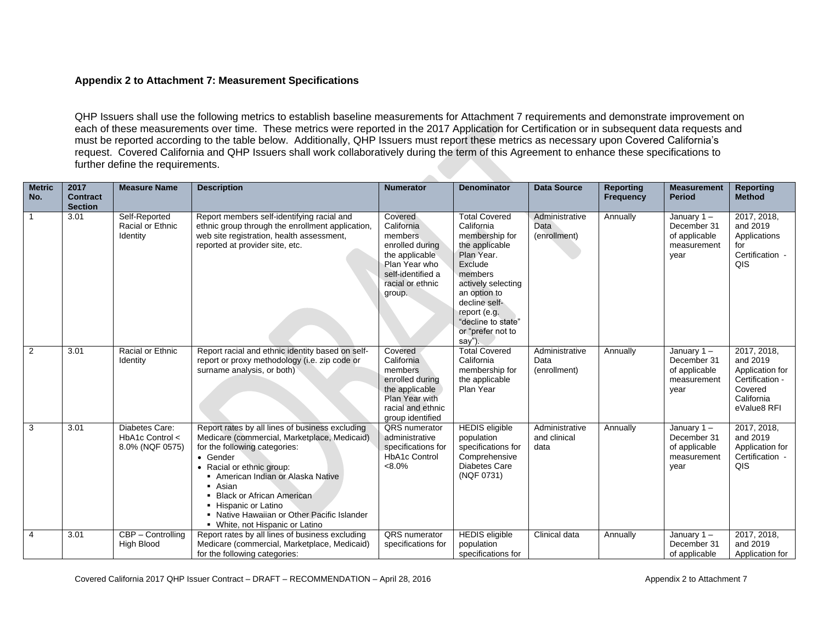## **Appendix 2 to Attachment 7: Measurement Specifications**

QHP Issuers shall use the following metrics to establish baseline measurements for Attachment 7 requirements and demonstrate improvement on each of these measurements over time. These metrics were reported in the 2017 Application for Certification or in subsequent data requests and must be reported according to the table below. Additionally, QHP Issuers must report these metrics as necessary upon Covered California's request. Covered California and QHP Issuers shall work collaboratively during the term of this Agreement to enhance these specifications to further define the requirements.

 $\sim$ 

| <b>Metric</b><br>No. | 2017<br><b>Contract</b><br><b>Section</b> | <b>Measure Name</b>                                  | <b>Description</b>                                                                                                                                                                                                                                                                                                                                                | <b>Numerator</b>                                                                                                                           | <b>Denominator</b>                                                                                                                                                                                                                    | <b>Data Source</b>                     | <b>Reporting</b><br><b>Frequency</b> | <b>Measurement</b><br><b>Period</b>                               | <b>Reporting</b><br><b>Method</b>                                                                     |
|----------------------|-------------------------------------------|------------------------------------------------------|-------------------------------------------------------------------------------------------------------------------------------------------------------------------------------------------------------------------------------------------------------------------------------------------------------------------------------------------------------------------|--------------------------------------------------------------------------------------------------------------------------------------------|---------------------------------------------------------------------------------------------------------------------------------------------------------------------------------------------------------------------------------------|----------------------------------------|--------------------------------------|-------------------------------------------------------------------|-------------------------------------------------------------------------------------------------------|
|                      | 3.01                                      | Self-Reported<br>Racial or Ethnic<br>Identity        | Report members self-identifying racial and<br>ethnic group through the enrollment application,<br>web site registration, health assessment,<br>reported at provider site, etc.                                                                                                                                                                                    | Covered<br>California<br>members.<br>enrolled during<br>the applicable<br>Plan Year who<br>self-identified a<br>racial or ethnic<br>group. | <b>Total Covered</b><br>California<br>membership for<br>the applicable<br>Plan Year.<br>Exclude<br>members<br>actively selecting<br>an option to<br>decline self-<br>report (e.g.<br>"decline to state"<br>or "prefer not to<br>say") | Administrative<br>Data<br>(enrollment) | Annually                             | January 1-<br>December 31<br>of applicable<br>measurement<br>year | 2017, 2018,<br>and 2019<br>Applications<br>for<br>Certification -<br>QIS                              |
| 2                    | 3.01                                      | Racial or Ethnic<br>Identity                         | Report racial and ethnic identity based on self-<br>report or proxy methodology (i.e. zip code or<br>surname analysis, or both)                                                                                                                                                                                                                                   | Covered<br>California<br>members<br>enrolled during<br>the applicable<br>Plan Year with<br>racial and ethnic<br>group identified           | <b>Total Covered</b><br>California<br>membership for<br>the applicable<br>Plan Year                                                                                                                                                   | Administrative<br>Data<br>(enrollment) | Annually                             | January 1-<br>December 31<br>of applicable<br>measurement<br>year | 2017, 2018,<br>and 2019<br>Application for<br>Certification -<br>Covered<br>California<br>eValue8 RFI |
| 3                    | 3.01                                      | Diabetes Care:<br>HbA1c Control <<br>8.0% (NQF 0575) | Report rates by all lines of business excluding<br>Medicare (commercial, Marketplace, Medicaid)<br>for the following categories:<br>• Gender<br>• Racial or ethnic group:<br>American Indian or Alaska Native<br>• Asian<br>• Black or African American<br>- Hispanic or Latino<br>• Native Hawaiian or Other Pacific Islander<br>• White, not Hispanic or Latino | <b>QRS</b> numerator<br>administrative<br>specifications for<br><b>HbA1c Control</b><br>$<8.0\%$                                           | <b>HEDIS</b> eligible<br>population<br>specifications for<br>Comprehensive<br><b>Diabetes Care</b><br>(NQF 0731)                                                                                                                      | Administrative<br>and clinical<br>data | Annually                             | January 1-<br>December 31<br>of applicable<br>measurement<br>year | 2017, 2018,<br>and 2019<br>Application for<br>Certification -<br>QIS                                  |
| $\overline{4}$       | 3.01                                      | CBP - Controlling<br><b>High Blood</b>               | Report rates by all lines of business excluding<br>Medicare (commercial, Marketplace, Medicaid)<br>for the following categories:                                                                                                                                                                                                                                  | QRS numerator<br>specifications for                                                                                                        | <b>HEDIS</b> eligible<br>population<br>specifications for                                                                                                                                                                             | Clinical data                          | Annually                             | January 1-<br>December 31<br>of applicable                        | 2017, 2018,<br>and 2019<br>Application for                                                            |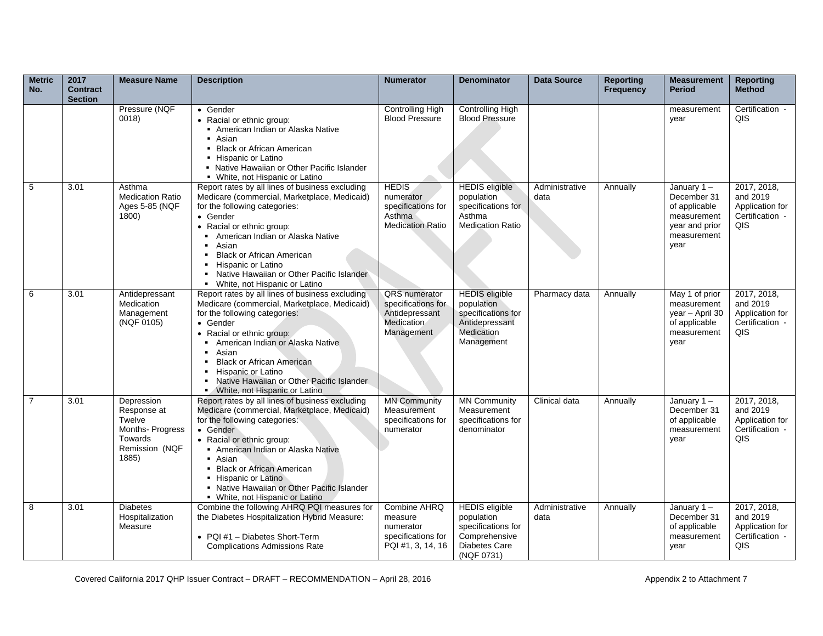| <b>Metric</b><br>No. | 2017<br><b>Contract</b><br><b>Section</b> | <b>Measure Name</b>                                                                           | <b>Description</b>                                                                                                                                                                                                                                                                                                                                                                       | <b>Numerator</b>                                                                     | <b>Denominator</b>                                                                                        | <b>Data Source</b>     | <b>Reporting</b><br><b>Frequency</b> | <b>Measurement</b><br><b>Period</b>                                                                | <b>Reporting</b><br><b>Method</b>                                           |
|----------------------|-------------------------------------------|-----------------------------------------------------------------------------------------------|------------------------------------------------------------------------------------------------------------------------------------------------------------------------------------------------------------------------------------------------------------------------------------------------------------------------------------------------------------------------------------------|--------------------------------------------------------------------------------------|-----------------------------------------------------------------------------------------------------------|------------------------|--------------------------------------|----------------------------------------------------------------------------------------------------|-----------------------------------------------------------------------------|
|                      |                                           | Pressure (NQF<br>0018                                                                         | • Gender<br>• Racial or ethnic group:<br>American Indian or Alaska Native<br>■ Asian<br>• Black or African American<br>- Hispanic or Latino<br>• Native Hawaiian or Other Pacific Islander<br>• White, not Hispanic or Latino                                                                                                                                                            | <b>Controlling High</b><br><b>Blood Pressure</b>                                     | <b>Controlling High</b><br><b>Blood Pressure</b>                                                          |                        |                                      | measurement<br>year                                                                                | Certification -<br>QIS                                                      |
| 5                    | 3.01                                      | Asthma<br><b>Medication Ratio</b><br>Ages 5-85 (NQF<br>1800)                                  | Report rates by all lines of business excluding<br>Medicare (commercial, Marketplace, Medicaid)<br>for the following categories:<br>• Gender<br>• Racial or ethnic group:<br>American Indian or Alaska Native<br>• Asian<br><b>Black or African American</b><br>• Hispanic or Latino<br>• Native Hawaiian or Other Pacific Islander<br>• White, not Hispanic or Latino                   | <b>HEDIS</b><br>numerator<br>specifications for<br>Asthma<br><b>Medication Ratio</b> | <b>HEDIS</b> eligible<br>population<br>specifications for<br>Asthma<br><b>Medication Ratio</b>            | Administrative<br>data | Annually                             | January 1-<br>December 31<br>of applicable<br>measurement<br>year and prior<br>measurement<br>year | 2017, 2018,<br>and 2019<br>Application for<br>Certification -<br>QIS        |
| 6                    | 3.01                                      | Antidepressant<br>Medication<br>Management<br>(NQF 0105)                                      | Report rates by all lines of business excluding<br>Medicare (commercial, Marketplace, Medicaid)<br>for the following categories:<br>• Gender<br>• Racial or ethnic group:<br>• American Indian or Alaska Native<br>Asian<br>$\blacksquare$<br><b>Black or African American</b><br>• Hispanic or Latino<br>• Native Hawaiian or Other Pacific Islander<br>• White, not Hispanic or Latino | QRS numerator<br>specifications for<br>Antidepressant<br>Medication<br>Management    | <b>HEDIS</b> eligible<br>population<br>specifications for<br>Antidepressant<br>Medication<br>Management   | Pharmacy data          | Annually                             | May 1 of prior<br>measurement<br>year - April 30<br>of applicable<br>measurement<br>year           | 2017, 2018,<br>and 2019<br>Application for<br>Certification -<br>QIS        |
| $\overline{7}$       | 3.01                                      | Depression<br>Response at<br>Twelve<br>Months- Progress<br>Towards<br>Remission (NQF<br>1885) | Report rates by all lines of business excluding<br>Medicare (commercial, Marketplace, Medicaid)<br>for the following categories:<br>• Gender<br>• Racial or ethnic group:<br>American Indian or Alaska Native<br>■ Asian<br>• Black or African American<br>- Hispanic or Latino<br>• Native Hawaiian or Other Pacific Islander<br>• White, not Hispanic or Latino                        | <b>MN Community</b><br>Measurement<br>specifications for<br>numerator                | <b>MN Community</b><br>Measurement<br>specifications for<br>denominator                                   | Clinical data          | Annually                             | January 1-<br>December 31<br>of applicable<br>measurement<br>year                                  | 2017, 2018,<br>and 2019<br>Application for<br>Certification -<br><b>QIS</b> |
| 8                    | 3.01                                      | <b>Diabetes</b><br>Hospitalization<br>Measure                                                 | Combine the following AHRQ PQI measures for<br>the Diabetes Hospitalization Hybrid Measure:<br>• PQI #1 - Diabetes Short-Term<br><b>Complications Admissions Rate</b>                                                                                                                                                                                                                    | Combine AHRQ<br>measure<br>numerator<br>specifications for<br>PQI #1, 3, 14, 16      | <b>HEDIS</b> eligible<br>population<br>specifications for<br>Comprehensive<br>Diabetes Care<br>(NQF 0731) | Administrative<br>data | Annually                             | January $1 -$<br>December 31<br>of applicable<br>measurement<br>year                               | 2017, 2018,<br>and 2019<br>Application for<br>Certification -<br>QIS        |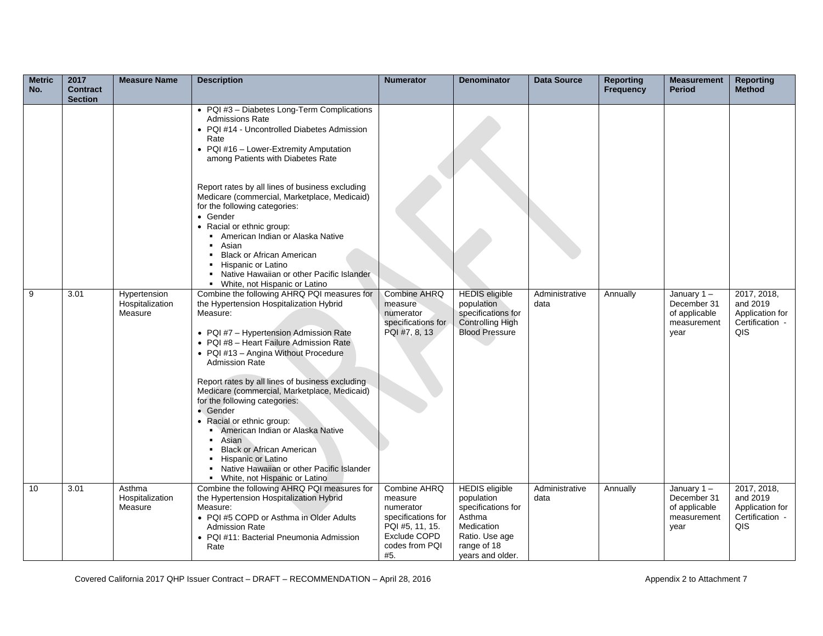| <b>Metric</b><br>No. | 2017<br><b>Contract</b> | <b>Measure Name</b>                        | <b>Description</b>                                                                                                                                                                                                                                                                                                                                                                                                                                                                                                                                                                                                                                                                                               | <b>Numerator</b>                                                                                                       | <b>Denominator</b>                                                                                                                     | <b>Data Source</b>     | <b>Reporting</b><br><b>Frequency</b> | <b>Measurement</b><br><b>Period</b>                                  | <b>Reporting</b><br><b>Method</b>                                    |
|----------------------|-------------------------|--------------------------------------------|------------------------------------------------------------------------------------------------------------------------------------------------------------------------------------------------------------------------------------------------------------------------------------------------------------------------------------------------------------------------------------------------------------------------------------------------------------------------------------------------------------------------------------------------------------------------------------------------------------------------------------------------------------------------------------------------------------------|------------------------------------------------------------------------------------------------------------------------|----------------------------------------------------------------------------------------------------------------------------------------|------------------------|--------------------------------------|----------------------------------------------------------------------|----------------------------------------------------------------------|
|                      | <b>Section</b>          |                                            | • PQI #3 - Diabetes Long-Term Complications<br><b>Admissions Rate</b><br>• PQI #14 - Uncontrolled Diabetes Admission<br>Rate<br>• PQI #16 - Lower-Extremity Amputation<br>among Patients with Diabetes Rate<br>Report rates by all lines of business excluding<br>Medicare (commercial, Marketplace, Medicaid)<br>for the following categories:<br>• Gender<br>• Racial or ethnic group:<br>American Indian or Alaska Native<br>Asian<br><b>Black or African American</b><br>Hispanic or Latino                                                                                                                                                                                                                  |                                                                                                                        |                                                                                                                                        |                        |                                      |                                                                      |                                                                      |
| 9                    | 3.01                    | Hypertension<br>Hospitalization<br>Measure | • Native Hawaiian or other Pacific Islander<br>• White, not Hispanic or Latino<br>Combine the following AHRQ PQI measures for<br>the Hypertension Hospitalization Hybrid<br>Measure:<br>• PQI #7 - Hypertension Admission Rate<br>• PQI #8 - Heart Failure Admission Rate<br>• PQI #13 - Angina Without Procedure<br><b>Admission Rate</b><br>Report rates by all lines of business excluding<br>Medicare (commercial, Marketplace, Medicaid)<br>for the following categories:<br>• Gender<br>• Racial or ethnic group:<br>American Indian or Alaska Native<br>Asian<br><b>Black or African American</b><br>Hispanic or Latino<br>• Native Hawaiian or other Pacific Islander<br>• White, not Hispanic or Latino | <b>Combine AHRQ</b><br>measure<br>numerator<br>specifications for<br>PQI #7, 8, 13                                     | <b>HEDIS</b> eligible<br>population<br>specifications for<br><b>Controlling High</b><br><b>Blood Pressure</b>                          | Administrative<br>data | Annually                             | January $1 -$<br>December 31<br>of applicable<br>measurement<br>year | 2017, 2018,<br>and 2019<br>Application for<br>Certification -<br>QIS |
| 10                   | 3.01                    | Asthma<br>Hospitalization<br>Measure       | Combine the following AHRQ PQI measures for<br>the Hypertension Hospitalization Hybrid<br>Measure:<br>• PQI #5 COPD or Asthma in Older Adults<br><b>Admission Rate</b><br>• PQI #11: Bacterial Pneumonia Admission<br>Rate                                                                                                                                                                                                                                                                                                                                                                                                                                                                                       | Combine AHRQ<br>measure<br>numerator<br>specifications for<br>PQI #5, 11, 15.<br>Exclude COPD<br>codes from PQI<br>#5. | <b>HEDIS</b> eligible<br>population<br>specifications for<br>Asthma<br>Medication<br>Ratio. Use age<br>range of 18<br>years and older. | Administrative<br>data | Annually                             | January $1 -$<br>December 31<br>of applicable<br>measurement<br>year | 2017, 2018,<br>and 2019<br>Application for<br>Certification -<br>QIS |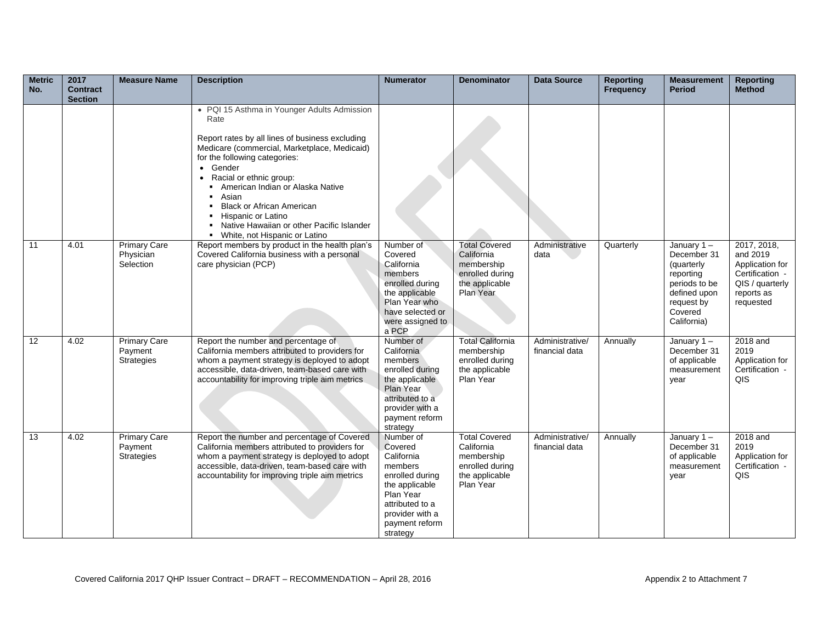| <b>Metric</b><br>No. | 2017<br><b>Contract</b><br><b>Section</b> | <b>Measure Name</b>                                 | <b>Description</b>                                                                                                                                                                                                                                                                                                                                                                                                                              | <b>Numerator</b>                                                                                                                                                    | <b>Denominator</b>                                                                                 | <b>Data Source</b>                | <b>Reporting</b><br><b>Frequency</b> | <b>Measurement</b><br><b>Period</b>                                                                                           | <b>Reporting</b><br><b>Method</b>                                                                           |
|----------------------|-------------------------------------------|-----------------------------------------------------|-------------------------------------------------------------------------------------------------------------------------------------------------------------------------------------------------------------------------------------------------------------------------------------------------------------------------------------------------------------------------------------------------------------------------------------------------|---------------------------------------------------------------------------------------------------------------------------------------------------------------------|----------------------------------------------------------------------------------------------------|-----------------------------------|--------------------------------------|-------------------------------------------------------------------------------------------------------------------------------|-------------------------------------------------------------------------------------------------------------|
|                      |                                           |                                                     | • PQI 15 Asthma in Younger Adults Admission<br>Rate<br>Report rates by all lines of business excluding<br>Medicare (commercial, Marketplace, Medicaid)<br>for the following categories:<br>Gender<br>$\bullet$<br>Racial or ethnic group:<br>$\bullet$<br>American Indian or Alaska Native<br>Asian<br><b>Black or African American</b><br>Hispanic or Latino<br>• Native Hawaiian or other Pacific Islander<br>• White, not Hispanic or Latino |                                                                                                                                                                     |                                                                                                    |                                   |                                      |                                                                                                                               |                                                                                                             |
| 11                   | 4.01                                      | <b>Primary Care</b><br>Physician<br>Selection       | Report members by product in the health plan's<br>Covered California business with a personal<br>care physician (PCP)                                                                                                                                                                                                                                                                                                                           | Number of<br>Covered<br>California<br>members<br>enrolled during<br>the applicable<br>Plan Year who<br>have selected or<br>were assigned to<br>a PCP                | <b>Total Covered</b><br>California<br>membership<br>enrolled during<br>the applicable<br>Plan Year | Administrative<br>data            | Quarterly                            | January 1-<br>December 31<br>(quarterly<br>reporting<br>periods to be<br>defined upon<br>request by<br>Covered<br>California) | 2017, 2018,<br>and 2019<br>Application for<br>Certification -<br>QIS / quarterly<br>reports as<br>requested |
| 12                   | 4.02                                      | <b>Primary Care</b><br>Payment<br><b>Strategies</b> | Report the number and percentage of<br>California members attributed to providers for<br>whom a payment strategy is deployed to adopt<br>accessible, data-driven, team-based care with<br>accountability for improving triple aim metrics                                                                                                                                                                                                       | Number of<br>California<br>members<br>enrolled during<br>the applicable<br>Plan Year<br>attributed to a<br>provider with a<br>payment reform<br>strategy            | <b>Total California</b><br>membership<br>enrolled during<br>the applicable<br>Plan Year            | Administrative/<br>financial data | Annually                             | January $1 -$<br>December 31<br>of applicable<br>measurement<br>year                                                          | 2018 and<br>2019<br>Application for<br>Certification -<br>QIS                                               |
| 13                   | 4.02                                      | <b>Primary Care</b><br>Payment<br><b>Strategies</b> | Report the number and percentage of Covered<br>California members attributed to providers for<br>whom a payment strategy is deployed to adopt<br>accessible, data-driven, team-based care with<br>accountability for improving triple aim metrics                                                                                                                                                                                               | Number of<br>Covered<br>California<br>members<br>enrolled during<br>the applicable<br>Plan Year<br>attributed to a<br>provider with a<br>payment reform<br>strategy | <b>Total Covered</b><br>California<br>membership<br>enrolled during<br>the applicable<br>Plan Year | Administrative/<br>financial data | Annually                             | January $1 -$<br>December 31<br>of applicable<br>measurement<br>year                                                          | 2018 and<br>2019<br>Application for<br>Certification -<br>QIS                                               |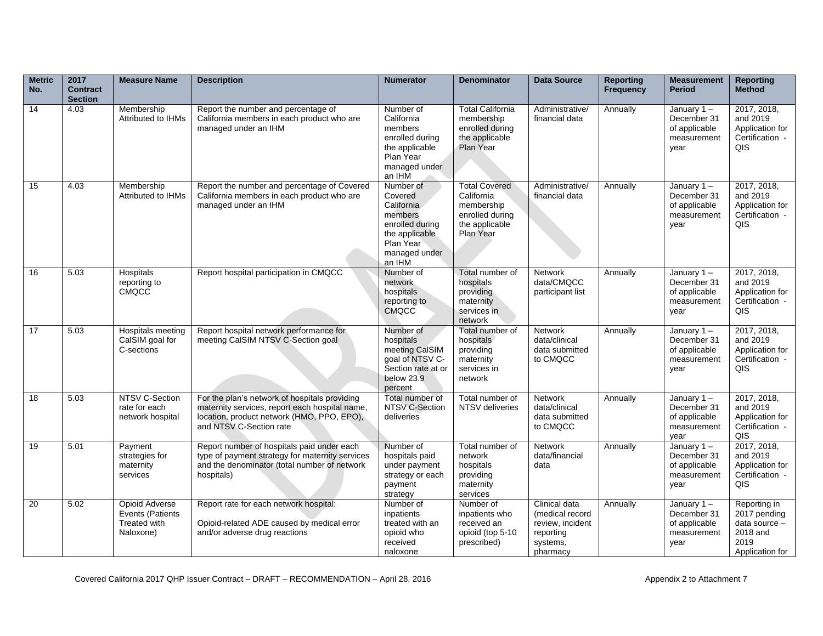| <b>Metric</b><br>No. | 2017<br><b>Contract</b><br><b>Section</b> | <b>Measure Name</b>                                                    | <b>Description</b>                                                                                                                                                       | <b>Numerator</b>                                                                                                           | <b>Denominator</b>                                                                                 | <b>Data Source</b>                                                                        | <b>Reporting</b><br><b>Frequency</b> | <b>Measurement</b><br><b>Period</b>                               | <b>Reporting</b><br><b>Method</b>                                                    |
|----------------------|-------------------------------------------|------------------------------------------------------------------------|--------------------------------------------------------------------------------------------------------------------------------------------------------------------------|----------------------------------------------------------------------------------------------------------------------------|----------------------------------------------------------------------------------------------------|-------------------------------------------------------------------------------------------|--------------------------------------|-------------------------------------------------------------------|--------------------------------------------------------------------------------------|
| 14                   | 4.03                                      | Membership<br>Attributed to IHMs                                       | Report the number and percentage of<br>California members in each product who are<br>managed under an IHM                                                                | Number of<br>California<br>members<br>enrolled during<br>the applicable<br>Plan Year<br>managed under<br>an IHM            | Total California<br>membership<br>enrolled during<br>the applicable<br>Plan Year                   | Administrative/<br>financial data                                                         | Annually                             | January 1-<br>December 31<br>of applicable<br>measurement<br>year | 2017, 2018,<br>and 2019<br>Application for<br>Certification -<br>QIS                 |
| 15                   | 4.03                                      | Membership<br>Attributed to IHMs                                       | Report the number and percentage of Covered<br>California members in each product who are<br>managed under an IHM                                                        | Number of<br>Covered<br>California<br>members<br>enrolled during<br>the applicable<br>Plan Year<br>managed under<br>an IHM | <b>Total Covered</b><br>California<br>membership<br>enrolled during<br>the applicable<br>Plan Year | Administrative/<br>financial data                                                         | Annually                             | January 1-<br>December 31<br>of applicable<br>measurement<br>year | 2017, 2018,<br>and 2019<br>Application for<br>Certification -<br>QIS                 |
| 16                   | 5.03                                      | Hospitals<br>reporting to<br><b>CMQCC</b>                              | Report hospital participation in CMQCC                                                                                                                                   | Number of<br>network<br>hospitals<br>reporting to<br><b>CMQCC</b>                                                          | Total number of<br>hospitals<br>providing<br>maternity<br>services in<br>network                   | <b>Network</b><br>data/CMQCC<br>participant list                                          | Annually                             | January 1-<br>December 31<br>of applicable<br>measurement<br>year | 2017, 2018,<br>and 2019<br>Application for<br>Certification -<br>QIS                 |
| 17                   | 5.03                                      | Hospitals meeting<br>CalSIM goal for<br>C-sections                     | Report hospital network performance for<br>meeting CalSIM NTSV C-Section goal                                                                                            | Number of<br>hospitals<br>meeting CalSIM<br>goal of NTSV C-<br>Section rate at or<br>below 23.9<br>percent                 | Total number of<br>hospitals<br>providing<br>maternity<br>services in<br>network                   | Network<br>data/clinical<br>data submitted<br>to CMQCC                                    | Annually                             | January 1-<br>December 31<br>of applicable<br>measurement<br>year | 2017, 2018,<br>and 2019<br>Application for<br>Certification -<br>QIS                 |
| 18                   | 5.03                                      | NTSV C-Section<br>rate for each<br>network hospital                    | For the plan's network of hospitals providing<br>maternity services, report each hospital name,<br>location, product network (HMO, PPO, EPO),<br>and NTSV C-Section rate | Total number of<br>NTSV C-Section<br>deliveries                                                                            | Total number of<br>NTSV deliveries                                                                 | <b>Network</b><br>data/clinical<br>data submitted<br>to CMQCC                             | Annually                             | January 1-<br>December 31<br>of applicable<br>measurement<br>vear | 2017, 2018,<br>and 2019<br>Application for<br>Certification -<br>QIS                 |
| 19                   | 5.01                                      | Payment<br>strategies for<br>maternity<br>services                     | Report number of hospitals paid under each<br>type of payment strategy for maternity services<br>and the denominator (total number of network<br>hospitals)              | Number of<br>hospitals paid<br>under payment<br>strategy or each<br>payment<br>strategy                                    | Total number of<br>network<br>hospitals<br>providing<br>maternity<br>services                      | <b>Network</b><br>data/financial<br>data                                                  | Annually                             | January 1-<br>December 31<br>of applicable<br>measurement<br>year | 2017, 2018,<br>and 2019<br>Application for<br>Certification -<br>QIS                 |
| 20                   | 5.02                                      | <b>Opioid Adverse</b><br>Events (Patients<br>Treated with<br>Naloxone) | Report rate for each network hospital:<br>Opioid-related ADE caused by medical error<br>and/or adverse drug reactions                                                    | Number of<br>inpatients<br>treated with an<br>opioid who<br>received<br>naloxone                                           | Number of<br>inpatients who<br>received an<br>opioid (top 5-10<br>prescribed)                      | Clinical data<br>(medical record<br>review, incident<br>reporting<br>systems,<br>pharmacy | Annually                             | January 1-<br>December 31<br>of applicable<br>measurement<br>vear | Reporting in<br>2017 pending<br>data source -<br>2018 and<br>2019<br>Application for |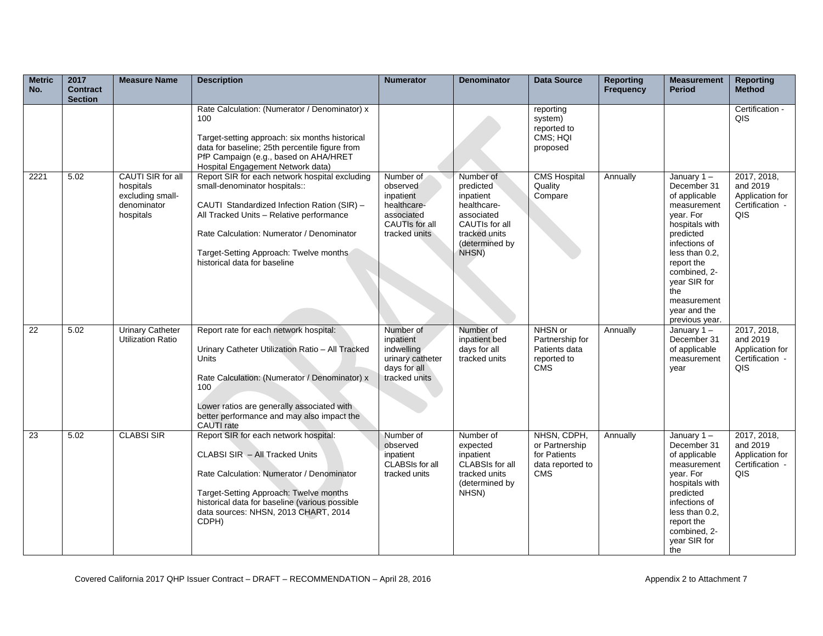| <b>Metric</b><br>No. | 2017<br><b>Contract</b><br><b>Section</b> | <b>Measure Name</b>                                                            | <b>Description</b>                                                                                                                                                                                                                                                                                | <b>Numerator</b>                                                                                   | <b>Denominator</b>                                                                                                             | <b>Data Source</b>                                                              | <b>Reporting</b><br>Frequency | <b>Measurement</b><br><b>Period</b>                                                                                                                                                                                                               | <b>Reporting</b><br><b>Method</b>                                    |
|----------------------|-------------------------------------------|--------------------------------------------------------------------------------|---------------------------------------------------------------------------------------------------------------------------------------------------------------------------------------------------------------------------------------------------------------------------------------------------|----------------------------------------------------------------------------------------------------|--------------------------------------------------------------------------------------------------------------------------------|---------------------------------------------------------------------------------|-------------------------------|---------------------------------------------------------------------------------------------------------------------------------------------------------------------------------------------------------------------------------------------------|----------------------------------------------------------------------|
|                      |                                           |                                                                                | Rate Calculation: (Numerator / Denominator) x<br>100<br>Target-setting approach: six months historical<br>data for baseline; 25th percentile figure from<br>PfP Campaign (e.g., based on AHA/HRET<br>Hospital Engagement Network data)                                                            |                                                                                                    |                                                                                                                                | reporting<br>system)<br>reported to<br>CMS; HQI<br>proposed                     |                               |                                                                                                                                                                                                                                                   | Certification -<br>QIS                                               |
| 2221                 | 5.02                                      | CAUTI SIR for all<br>hospitals<br>excluding small-<br>denominator<br>hospitals | Report SIR for each network hospital excluding<br>small-denominator hospitals::<br>CAUTI Standardized Infection Ration (SIR) -<br>All Tracked Units - Relative performance<br>Rate Calculation: Numerator / Denominator<br>Target-Setting Approach: Twelve months<br>historical data for baseline | Number of<br>observed<br>inpatient<br>healthcare-<br>associated<br>CAUTIs for all<br>tracked units | Number of<br>predicted<br>inpatient<br>healthcare-<br>associated<br>CAUTIs for all<br>tracked units<br>(determined by<br>NHSN) | <b>CMS Hospital</b><br>Quality<br>Compare                                       | Annually                      | January $1 -$<br>December 31<br>of applicable<br>measurement<br>year. For<br>hospitals with<br>predicted<br>infections of<br>less than 0.2.<br>report the<br>combined, 2-<br>year SIR for<br>the<br>measurement<br>year and the<br>previous year. | 2017, 2018,<br>and 2019<br>Application for<br>Certification -<br>QIS |
| 22                   | 5.02                                      | <b>Urinary Catheter</b><br><b>Utilization Ratio</b>                            | Report rate for each network hospital:<br>Urinary Catheter Utilization Ratio - All Tracked<br><b>Units</b><br>Rate Calculation: (Numerator / Denominator) x<br>100<br>Lower ratios are generally associated with<br>better performance and may also impact the<br>CAUTI rate                      | Number of<br>inpatient<br>indwelling<br>urinary catheter<br>days for all<br>tracked units          | Number of<br>inpatient bed<br>days for all<br>tracked units                                                                    | NHSN or<br>Partnership for<br>Patients data<br>reported to<br><b>CMS</b>        | Annually                      | January $1 -$<br>December 31<br>of applicable<br>measurement<br>year                                                                                                                                                                              | 2017, 2018,<br>and 2019<br>Application for<br>Certification -<br>QIS |
| 23                   | 5.02                                      | <b>CLABSI SIR</b>                                                              | Report SIR for each network hospital:<br>CLABSI SIR - All Tracked Units<br>Rate Calculation: Numerator / Denominator<br>Target-Setting Approach: Twelve months<br>historical data for baseline (various possible<br>data sources: NHSN, 2013 CHART, 2014<br>CDPH)                                 | Number of<br>observed<br>inpatient<br>CLABSIs for all<br>tracked units                             | Number of<br>expected<br>inpatient<br>CLABSIs for all<br>tracked units<br>(determined by<br>NHSN)                              | NHSN, CDPH,<br>or Partnership<br>for Patients<br>data reported to<br><b>CMS</b> | Annually                      | January $1 -$<br>December 31<br>of applicable<br>measurement<br>year. For<br>hospitals with<br>predicted<br>infections of<br>less than 0.2.<br>report the<br>combined, 2-<br>year SIR for<br>the                                                  | 2017, 2018,<br>and 2019<br>Application for<br>Certification -<br>QIS |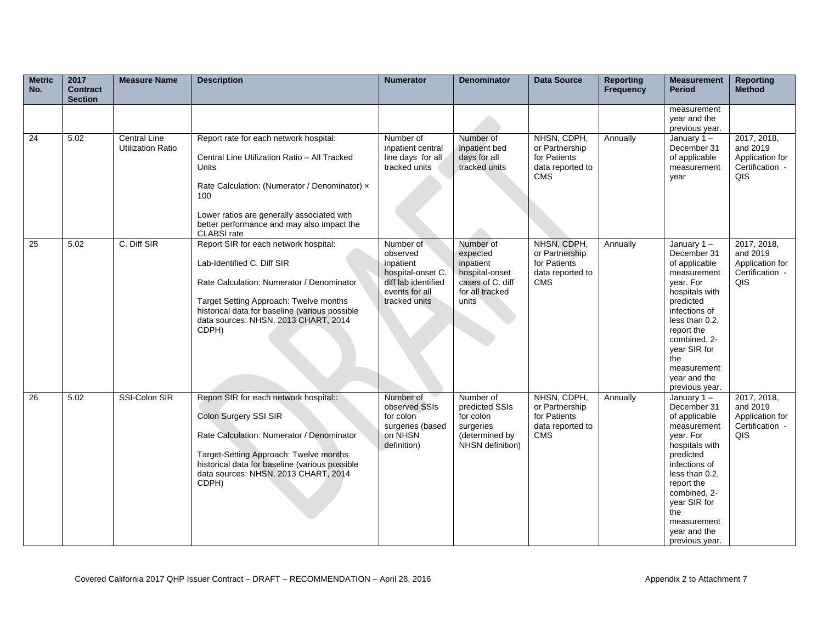| <b>Metric</b><br>No. | 2017<br><b>Contract</b><br><b>Section</b> | <b>Measure Name</b>                             | <b>Description</b>                                                                                                                                                                                                                                                        | <b>Numerator</b>                                                                                                  | <b>Denominator</b>                                                                                   | <b>Data Source</b>                                                              | <b>Reporting</b><br>Frequency | <b>Measurement</b><br><b>Period</b>                                                                                                                                                                                                               | <b>Reporting</b><br><b>Method</b>                                    |
|----------------------|-------------------------------------------|-------------------------------------------------|---------------------------------------------------------------------------------------------------------------------------------------------------------------------------------------------------------------------------------------------------------------------------|-------------------------------------------------------------------------------------------------------------------|------------------------------------------------------------------------------------------------------|---------------------------------------------------------------------------------|-------------------------------|---------------------------------------------------------------------------------------------------------------------------------------------------------------------------------------------------------------------------------------------------|----------------------------------------------------------------------|
|                      |                                           |                                                 |                                                                                                                                                                                                                                                                           |                                                                                                                   |                                                                                                      |                                                                                 |                               | measurement<br>year and the<br>previous year.                                                                                                                                                                                                     |                                                                      |
| 24                   | 5.02                                      | <b>Central Line</b><br><b>Utilization Ratio</b> | Report rate for each network hospital:<br>Central Line Utilization Ratio - All Tracked<br>Units<br>Rate Calculation: (Numerator / Denominator) x<br>100<br>Lower ratios are generally associated with<br>better performance and may also impact the<br><b>CLABSI</b> rate | Number of<br>inpatient central<br>line days for all<br>tracked units                                              | Number of<br>inpatient bed<br>days for all<br>tracked units                                          | NHSN, CDPH,<br>or Partnership<br>for Patients<br>data reported to<br><b>CMS</b> | Annually                      | January $1 -$<br>December 31<br>of applicable<br>measurement<br>year                                                                                                                                                                              | 2017, 2018,<br>and 2019<br>Application for<br>Certification -<br>QIS |
| 25                   | 5.02                                      | C. Diff SIR                                     | Report SIR for each network hospital:<br>Lab-Identified C. Diff SIR<br>Rate Calculation: Numerator / Denominator<br>Target Setting Approach: Twelve months<br>historical data for baseline (various possible<br>data sources: NHSN, 2013 CHART, 2014<br>CDPH)             | Number of<br>observed<br>inpatient<br>hospital-onset C.<br>diff lab identified<br>events for all<br>tracked units | Number of<br>expected<br>inpatient<br>hospital-onset<br>cases of C. diff<br>for all tracked<br>units | NHSN, CDPH,<br>or Partnership<br>for Patients<br>data reported to<br><b>CMS</b> | Annually                      | January $1 -$<br>December 31<br>of applicable<br>measurement<br>vear. For<br>hospitals with<br>predicted<br>infections of<br>less than 0.2.<br>report the<br>combined, 2-<br>year SIR for<br>the<br>measurement<br>year and the<br>previous year. | 2017, 2018,<br>and 2019<br>Application for<br>Certification -<br>QIS |
| 26                   | 5.02                                      | SSI-Colon SIR                                   | Report SIR for each network hospital::<br>Colon Surgery SSI SIR<br>Rate Calculation: Numerator / Denominator<br>Target-Setting Approach: Twelve months<br>historical data for baseline (various possible<br>data sources: NHSN, 2013 CHART, 2014<br>CDPH)                 | Number of<br>observed SSIs<br>for colon<br>surgeries (based<br>on NHSN<br>definition)                             | Number of<br>predicted SSIs<br>for colon<br>surgeries<br>(determined by<br>NHSN definition)          | NHSN, CDPH,<br>or Partnership<br>for Patients<br>data reported to<br><b>CMS</b> | Annually                      | January $1 -$<br>December 31<br>of applicable<br>measurement<br>vear. For<br>hospitals with<br>predicted<br>infections of<br>less than 0.2.<br>report the<br>combined, 2-<br>year SIR for<br>the<br>measurement<br>year and the<br>previous year. | 2017, 2018,<br>and 2019<br>Application for<br>Certification -<br>QIS |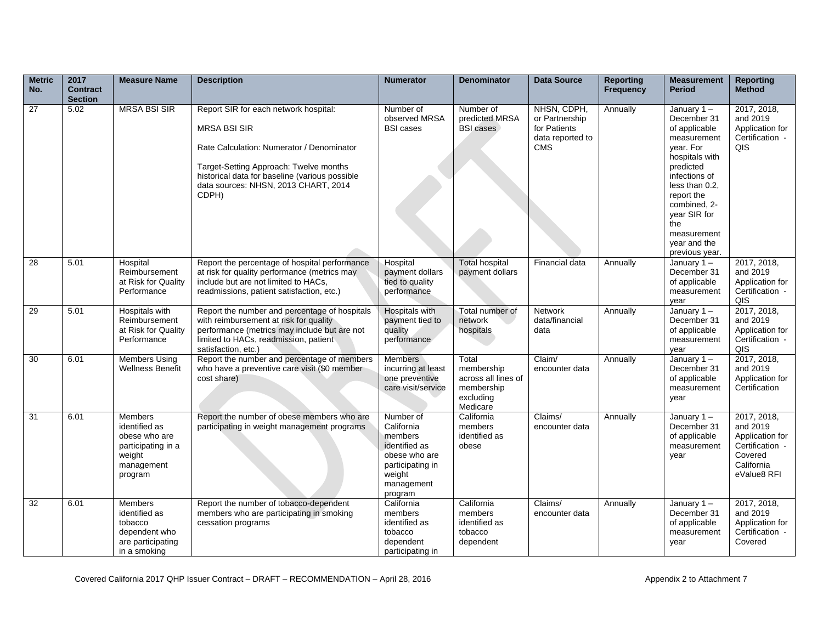| <b>Metric</b><br>No. | 2017<br><b>Contract</b><br><b>Section</b> | <b>Measure Name</b>                                                                                       | <b>Description</b>                                                                                                                                                                                                                                     | <b>Numerator</b>                                                                                                            | <b>Denominator</b>                                                                | <b>Data Source</b>                                                              | <b>Reporting</b><br><b>Frequency</b> | <b>Measurement</b><br><b>Period</b>                                                                                                                                                                                                               | <b>Reporting</b><br><b>Method</b>                                                                     |
|----------------------|-------------------------------------------|-----------------------------------------------------------------------------------------------------------|--------------------------------------------------------------------------------------------------------------------------------------------------------------------------------------------------------------------------------------------------------|-----------------------------------------------------------------------------------------------------------------------------|-----------------------------------------------------------------------------------|---------------------------------------------------------------------------------|--------------------------------------|---------------------------------------------------------------------------------------------------------------------------------------------------------------------------------------------------------------------------------------------------|-------------------------------------------------------------------------------------------------------|
| $\overline{27}$      | 5.02                                      | <b>MRSA BSI SIR</b>                                                                                       | Report SIR for each network hospital:<br><b>MRSA BSI SIR</b><br>Rate Calculation: Numerator / Denominator<br>Target-Setting Approach: Twelve months<br>historical data for baseline (various possible<br>data sources: NHSN, 2013 CHART, 2014<br>CDPH) | Number of<br>observed MRSA<br><b>BSI</b> cases                                                                              | Number of<br>predicted MRSA<br><b>BSI</b> cases                                   | NHSN, CDPH,<br>or Partnership<br>for Patients<br>data reported to<br><b>CMS</b> | Annually                             | January $1 -$<br>December 31<br>of applicable<br>measurement<br>vear. For<br>hospitals with<br>predicted<br>infections of<br>less than 0.2,<br>report the<br>combined, 2-<br>year SIR for<br>the<br>measurement<br>year and the<br>previous year. | 2017, 2018,<br>and 2019<br>Application for<br>Certification -<br>QIS                                  |
| 28                   | 5.01                                      | Hospital<br>Reimbursement<br>at Risk for Quality<br>Performance                                           | Report the percentage of hospital performance<br>at risk for quality performance (metrics may<br>include but are not limited to HACs,<br>readmissions, patient satisfaction, etc.)                                                                     | Hospital<br>payment dollars<br>tied to quality<br>performance                                                               | <b>Total hospital</b><br>payment dollars                                          | Financial data                                                                  | Annually                             | January $1 -$<br>December 31<br>of applicable<br>measurement<br>year                                                                                                                                                                              | 2017, 2018,<br>and 2019<br>Application for<br>Certification -<br>QIS                                  |
| 29                   | 5.01                                      | Hospitals with<br>Reimbursement<br>at Risk for Quality<br>Performance                                     | Report the number and percentage of hospitals<br>with reimbursement at risk for quality<br>performance (metrics may include but are not<br>limited to HACs, readmission, patient<br>satisfaction, etc.)                                                | <b>Hospitals with</b><br>payment tied to<br>quality<br>performance                                                          | Total number of<br>network<br>hospitals                                           | <b>Network</b><br>data/financial<br>data                                        | Annually                             | January $1 -$<br>December 31<br>of applicable<br>measurement<br>year                                                                                                                                                                              | 2017, 2018,<br>and 2019<br>Application for<br>Certification -<br>QIS                                  |
| 30                   | 6.01                                      | <b>Members Using</b><br><b>Wellness Benefit</b>                                                           | Report the number and percentage of members<br>who have a preventive care visit (\$0 member<br>cost share)                                                                                                                                             | <b>Members</b><br>incurring at least<br>one preventive<br>care visit/service                                                | Total<br>membership<br>across all lines of<br>membership<br>excluding<br>Medicare | Claim/<br>encounter data                                                        | Annually                             | January $1 -$<br>December 31<br>of applicable<br>measurement<br>year                                                                                                                                                                              | 2017, 2018,<br>and 2019<br>Application for<br>Certification                                           |
| $\overline{31}$      | 6.01                                      | <b>Members</b><br>identified as<br>obese who are<br>participating in a<br>weight<br>management<br>program | Report the number of obese members who are<br>participating in weight management programs                                                                                                                                                              | Number of<br>California<br>members<br>identified as<br>obese who are<br>participating in<br>weight<br>management<br>program | California<br>members<br>identified as<br>obese                                   | Claims/<br>encounter data                                                       | Annually                             | January $1 -$<br>December 31<br>of applicable<br>measurement<br>year                                                                                                                                                                              | 2017, 2018,<br>and 2019<br>Application for<br>Certification -<br>Covered<br>California<br>eValue8 RFI |
| 32                   | 6.01                                      | <b>Members</b><br>identified as<br>tobacco<br>dependent who<br>are participating<br>in a smoking          | Report the number of tobacco-dependent<br>members who are participating in smoking<br>cessation programs                                                                                                                                               | California<br>members<br>identified as<br>tobacco<br>dependent<br>participating in                                          | California<br>members<br>identified as<br>tobacco<br>dependent                    | Claims/<br>encounter data                                                       | Annually                             | January $1 -$<br>December 31<br>of applicable<br>measurement<br>year                                                                                                                                                                              | 2017, 2018,<br>and 2019<br>Application for<br>Certification -<br>Covered                              |